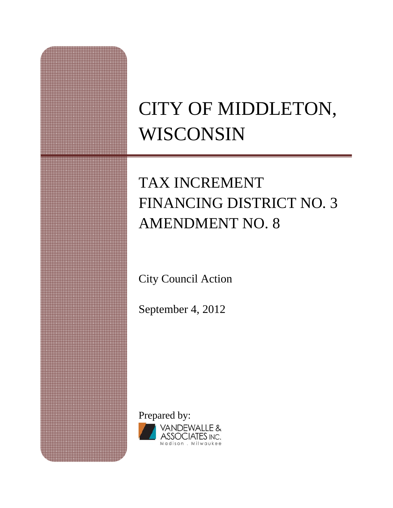# CITY OF MIDDLETON, WISCONSIN

## TAX INCREMENT FINANCING DISTRICT NO. 3 AMENDMENT NO. 8

City Council Action

September 4, 2012

Prepared by: VANDEWALLE & SSOCIATES INC. Madison . Milwaukee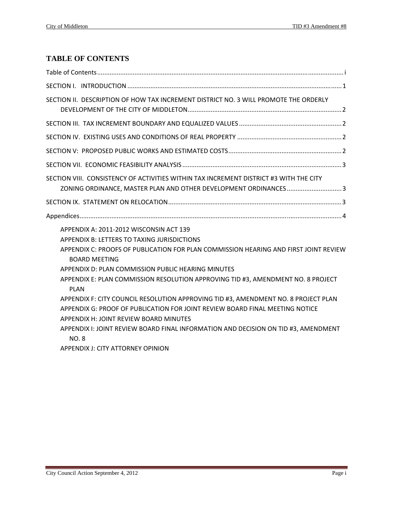#### **TABLE OF CONTENTS**

| SECTION II. DESCRIPTION OF HOW TAX INCREMENT DISTRICT NO. 3 WILL PROMOTE THE ORDERLY                                                                                           |
|--------------------------------------------------------------------------------------------------------------------------------------------------------------------------------|
|                                                                                                                                                                                |
|                                                                                                                                                                                |
|                                                                                                                                                                                |
|                                                                                                                                                                                |
| SECTION VIII. CONSISTENCY OF ACTIVITIES WITHIN TAX INCREMENT DISTRICT #3 WITH THE CITY<br>ZONING ORDINANCE, MASTER PLAN AND OTHER DEVELOPMENT ORDINANCES3                      |
|                                                                                                                                                                                |
|                                                                                                                                                                                |
|                                                                                                                                                                                |
| APPENDIX A: 2011-2012 WISCONSIN ACT 139<br>APPENDIX B: LETTERS TO TAXING JURISDICTIONS<br>APPENDIX C: PROOFS OF PUBLICATION FOR PLAN COMMISSION HEARING AND FIRST JOINT REVIEW |
| <b>BOARD MEETING</b><br>APPENDIX D: PLAN COMMISSION PUBLIC HEARING MINUTES                                                                                                     |
| APPENDIX E: PLAN COMMISSION RESOLUTION APPROVING TID #3, AMENDMENT NO. 8 PROJECT<br><b>PLAN</b>                                                                                |
| APPENDIX F: CITY COUNCIL RESOLUTION APPROVING TID #3, AMENDMENT NO. 8 PROJECT PLAN                                                                                             |
| APPENDIX G: PROOF OF PUBLICATION FOR JOINT REVIEW BOARD FINAL MEETING NOTICE                                                                                                   |
| <b>APPENDIX H: JOINT REVIEW BOARD MINUTES</b>                                                                                                                                  |
| APPENDIX I: JOINT REVIEW BOARD FINAL INFORMATION AND DECISION ON TID #3, AMENDMENT<br><b>NO.8</b>                                                                              |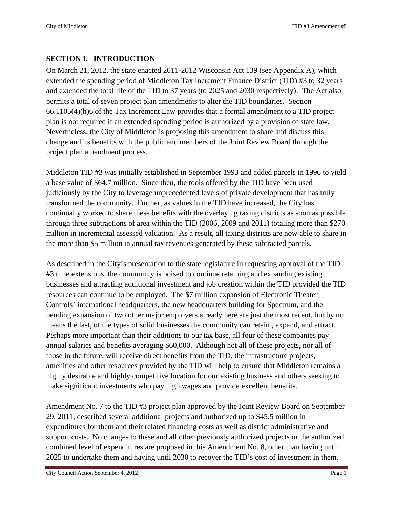#### **SECTION I. INTRODUCTION**

On March 21, 2012, the state enacted 2011-2012 Wisconsin Act 139 (see Appendix A), which extended the spending period of Middleton Tax Increment Finance District (TID) #3 to 32 years and extended the total life of the TID to 37 years (to 2025 and 2030 respectively). The Act also permits a total of seven project plan amendments to alter the TID boundaries. Section 66.1105(4)(h)6 of the Tax Increment Law provides that a formal amendment to a TID project plan is not required if an extended spending period is authorized by a provision of state law. Nevertheless, the City of Middleton is proposing this amendment to share and discuss this change and its benefits with the public and members of the Joint Review Board through the project plan amendment process.

Middleton TID #3 was initially established in September 1993 and added parcels in 1996 to yield a base value of \$64.7 million. Since then, the tools offered by the TID have been used judiciously by the City to leverage unprecedented levels of private development that has truly transformed the community. Further, as values in the TID have increased, the City has continually worked to share these benefits with the overlaying taxing districts as soon as possible through three subtractions of area within the TID (2006, 2009 and 2011) totaling more than \$270 million in incremental assessed valuation. As a result, all taxing districts are now able to share in the more than \$5 million in annual tax revenues generated by these subtracted parcels.

As described in the City's presentation to the state legislature in requesting approval of the TID #3 time extensions, the community is poised to continue retaining and expanding existing businesses and attracting additional investment and job creation within the TID provided the TID resources can continue to be employed. The \$7 million expansion of Electronic Theater Controls' international headquarters, the new headquarters building for Spectrum, and the pending expansion of two other major employers already here are just the most recent, but by no means the last, of the types of solid businesses the community can retain , expand, and attract. Perhaps more important than their additions to our tax base, all four of these companies pay annual salaries and benefits averaging \$60,000. Although not all of these projects, nor all of those in the future, will receive direct benefits from the TID, the infrastructure projects, amenities and other resources provided by the TID will help to ensure that Middleton remains a highly desirable and highly competitive location for our existing business and others seeking to make significant investments who pay high wages and provide excellent benefits.

Amendment No. 7 to the TID #3 project plan approved by the Joint Review Board on September 29, 2011, described several additional projects and authorized up to \$45.5 million in expenditures for them and their related financing costs as well as district administrative and support costs. No changes to these and all other previously authorized projects or the authorized combined level of expenditures are proposed in this Amendment No. 8, other than having until 2025 to undertake them and having until 2030 to recover the TID's cost of investment in them.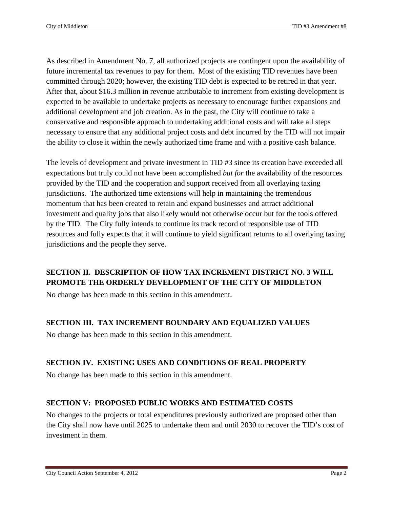As described in Amendment No. 7, all authorized projects are contingent upon the availability of future incremental tax revenues to pay for them. Most of the existing TID revenues have been committed through 2020; however, the existing TID debt is expected to be retired in that year. After that, about \$16.3 million in revenue attributable to increment from existing development is expected to be available to undertake projects as necessary to encourage further expansions and additional development and job creation. As in the past, the City will continue to take a conservative and responsible approach to undertaking additional costs and will take all steps necessary to ensure that any additional project costs and debt incurred by the TID will not impair the ability to close it within the newly authorized time frame and with a positive cash balance.

The levels of development and private investment in TID #3 since its creation have exceeded all expectations but truly could not have been accomplished *but for* the availability of the resources provided by the TID and the cooperation and support received from all overlaying taxing jurisdictions. The authorized time extensions will help in maintaining the tremendous momentum that has been created to retain and expand businesses and attract additional investment and quality jobs that also likely would not otherwise occur but for the tools offered by the TID. The City fully intends to continue its track record of responsible use of TID resources and fully expects that it will continue to yield significant returns to all overlying taxing jurisdictions and the people they serve.

#### **SECTION II. DESCRIPTION OF HOW TAX INCREMENT DISTRICT NO. 3 WILL PROMOTE THE ORDERLY DEVELOPMENT OF THE CITY OF MIDDLETON**

No change has been made to this section in this amendment.

#### **SECTION III. TAX INCREMENT BOUNDARY AND EQUALIZED VALUES**

No change has been made to this section in this amendment.

#### **SECTION IV. EXISTING USES AND CONDITIONS OF REAL PROPERTY**

No change has been made to this section in this amendment.

#### **SECTION V: PROPOSED PUBLIC WORKS AND ESTIMATED COSTS**

No changes to the projects or total expenditures previously authorized are proposed other than the City shall now have until 2025 to undertake them and until 2030 to recover the TID's cost of investment in them.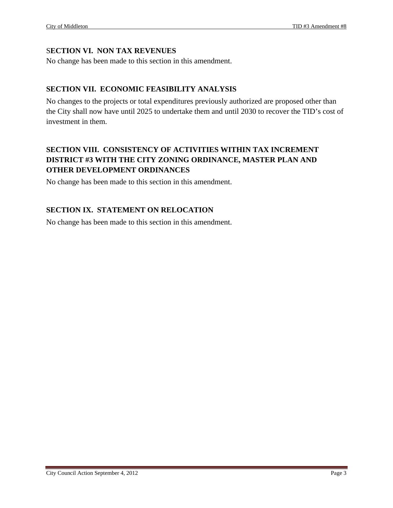#### S**ECTION VI. NON TAX REVENUES**

No change has been made to this section in this amendment.

#### **SECTION VII. ECONOMIC FEASIBILITY ANALYSIS**

No changes to the projects or total expenditures previously authorized are proposed other than the City shall now have until 2025 to undertake them and until 2030 to recover the TID's cost of investment in them.

#### **SECTION VIII. CONSISTENCY OF ACTIVITIES WITHIN TAX INCREMENT DISTRICT #3 WITH THE CITY ZONING ORDINANCE, MASTER PLAN AND OTHER DEVELOPMENT ORDINANCES**

No change has been made to this section in this amendment.

#### **SECTION IX. STATEMENT ON RELOCATION**

No change has been made to this section in this amendment.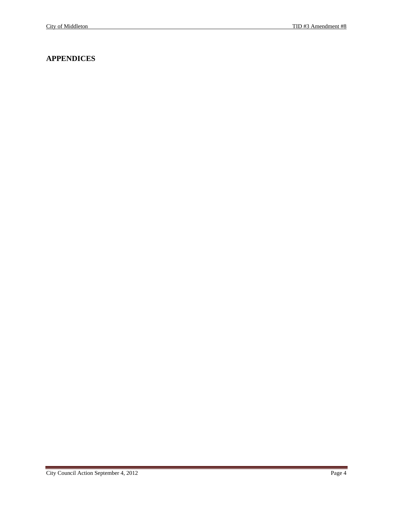#### **APPENDICES**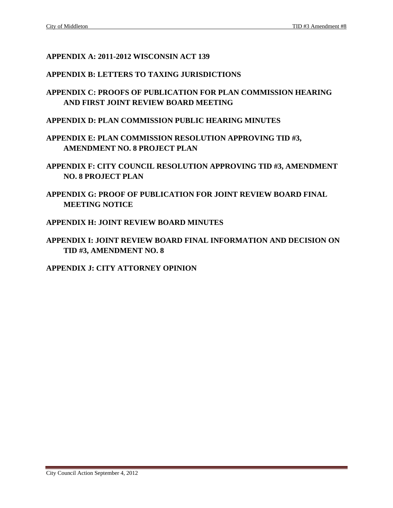#### **APPENDIX A: 2011-2012 WISCONSIN ACT 139**

#### **APPENDIX B: LETTERS TO TAXING JURISDICTIONS**

- **APPENDIX C: PROOFS OF PUBLICATION FOR PLAN COMMISSION HEARING AND FIRST JOINT REVIEW BOARD MEETING**
- **APPENDIX D: PLAN COMMISSION PUBLIC HEARING MINUTES**
- **APPENDIX E: PLAN COMMISSION RESOLUTION APPROVING TID #3, AMENDMENT NO. 8 PROJECT PLAN**
- **APPENDIX F: CITY COUNCIL RESOLUTION APPROVING TID #3, AMENDMENT NO. 8 PROJECT PLAN**
- **APPENDIX G: PROOF OF PUBLICATION FOR JOINT REVIEW BOARD FINAL MEETING NOTICE**
- **APPENDIX H: JOINT REVIEW BOARD MINUTES**
- **APPENDIX I: JOINT REVIEW BOARD FINAL INFORMATION AND DECISION ON TID #3, AMENDMENT NO. 8**

#### **APPENDIX J: CITY ATTORNEY OPINION**